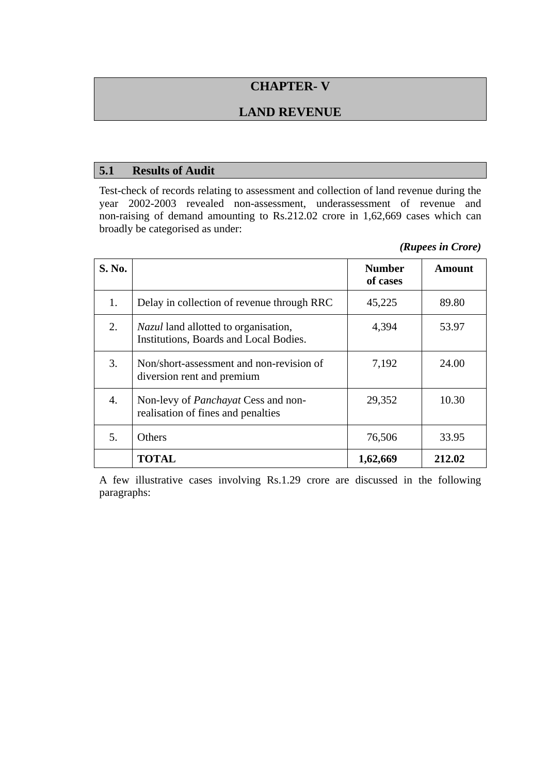# **CHAPTER- V**

## **LAND REVENUE**

### **5.1 Results of Audit**

Test-check of records relating to assessment and collection of land revenue during the year 2002-2003 revealed non-assessment, underassessment of revenue and non-raising of demand amounting to Rs.212.02 crore in 1,62,669 cases which can broadly be categorised as under:

| (Rupees in Crore) |  |  |
|-------------------|--|--|
|-------------------|--|--|

| S. No. |                                                                                       | <b>Number</b><br>of cases | <b>Amount</b> |
|--------|---------------------------------------------------------------------------------------|---------------------------|---------------|
| 1.     | Delay in collection of revenue through RRC                                            | 45,225                    | 89.80         |
| 2.     | <i>Nazul</i> land allotted to organisation,<br>Institutions, Boards and Local Bodies. | 4,394                     | 53.97         |
| 3.     | Non/short-assessment and non-revision of<br>diversion rent and premium                | 7,192                     | 24.00         |
| 4.     | Non-levy of <i>Panchayat</i> Cess and non-<br>realisation of fines and penalties      | 29,352                    | 10.30         |
| 5.     | <b>Others</b>                                                                         | 76,506                    | 33.95         |
|        | TOTAL                                                                                 | 1,62,669                  | 212.02        |

A few illustrative cases involving Rs.1.29 crore are discussed in the following paragraphs: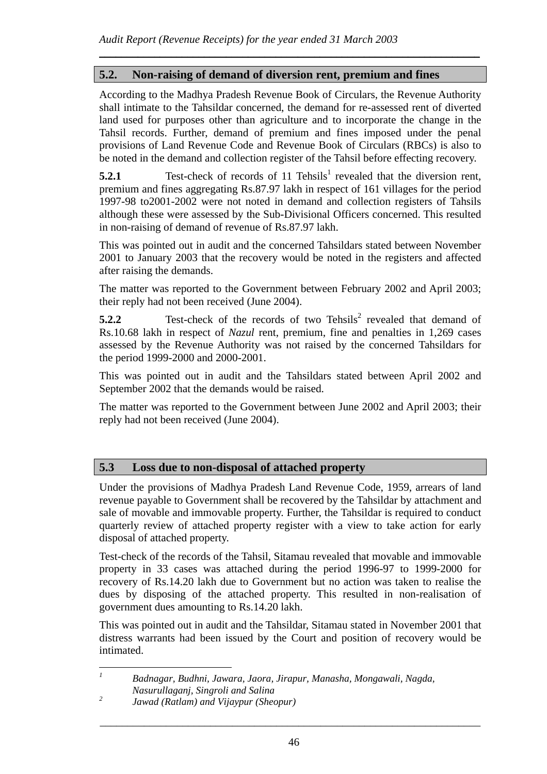## **5.2. Non-raising of demand of diversion rent, premium and fines**

According to the Madhya Pradesh Revenue Book of Circulars, the Revenue Authority shall intimate to the Tahsildar concerned, the demand for re-assessed rent of diverted land used for purposes other than agriculture and to incorporate the change in the Tahsil records. Further, demand of premium and fines imposed under the penal provisions of Land Revenue Code and Revenue Book of Circulars (RBCs) is also to be noted in the demand and collection register of the Tahsil before effecting recovery.

*\_\_\_\_\_\_\_\_\_\_\_\_\_\_\_\_\_\_\_\_\_\_\_\_\_\_\_\_\_\_\_\_\_\_\_\_\_\_\_\_\_\_\_\_\_\_\_\_\_\_\_\_\_\_\_\_\_\_\_\_\_\_\_\_\_\_\_\_\_*

**5.2.1** Test-check of records of 11 Tehsils<sup>1</sup> revealed that the diversion rent, premium and fines aggregating Rs.87.97 lakh in respect of 161 villages for the period 1997-98 to2001-2002 were not noted in demand and collection registers of Tahsils although these were assessed by the Sub-Divisional Officers concerned. This resulted in non-raising of demand of revenue of Rs.87.97 lakh.

This was pointed out in audit and the concerned Tahsildars stated between November 2001 to January 2003 that the recovery would be noted in the registers and affected after raising the demands.

The matter was reported to the Government between February 2002 and April 2003; their reply had not been received (June 2004).

**5.2.2** Test-check of the records of two Tehsils<sup>2</sup> revealed that demand of Rs.10.68 lakh in respect of *Nazul* rent, premium, fine and penalties in 1,269 cases assessed by the Revenue Authority was not raised by the concerned Tahsildars for the period 1999-2000 and 2000-2001.

This was pointed out in audit and the Tahsildars stated between April 2002 and September 2002 that the demands would be raised.

The matter was reported to the Government between June 2002 and April 2003; their reply had not been received (June 2004).

## **5.3 Loss due to non-disposal of attached property**

Under the provisions of Madhya Pradesh Land Revenue Code, 1959, arrears of land revenue payable to Government shall be recovered by the Tahsildar by attachment and sale of movable and immovable property. Further, the Tahsildar is required to conduct quarterly review of attached property register with a view to take action for early disposal of attached property.

Test-check of the records of the Tahsil, Sitamau revealed that movable and immovable property in 33 cases was attached during the period 1996-97 to 1999-2000 for recovery of Rs.14.20 lakh due to Government but no action was taken to realise the dues by disposing of the attached property. This resulted in non-realisation of government dues amounting to Rs.14.20 lakh.

This was pointed out in audit and the Tahsildar, Sitamau stated in November 2001 that distress warrants had been issued by the Court and position of recovery would be intimated.

 *Badnagar, Budhni, Jawara, Jaora, Jirapur, Manasha, Mongawali, Nagda, Nasurullaganj, Singroli and Salina* 

 $\overline{a}$ *1*

\_\_\_\_\_\_\_\_\_\_\_\_\_\_\_\_\_\_\_\_\_\_\_\_\_\_\_\_\_\_\_\_\_\_\_\_\_\_\_\_\_\_\_\_\_\_\_\_\_\_\_\_\_\_\_\_\_\_\_\_\_\_\_\_\_\_\_\_\_

*<sup>2</sup> Jawad (Ratlam) and Vijaypur (Sheopur)*